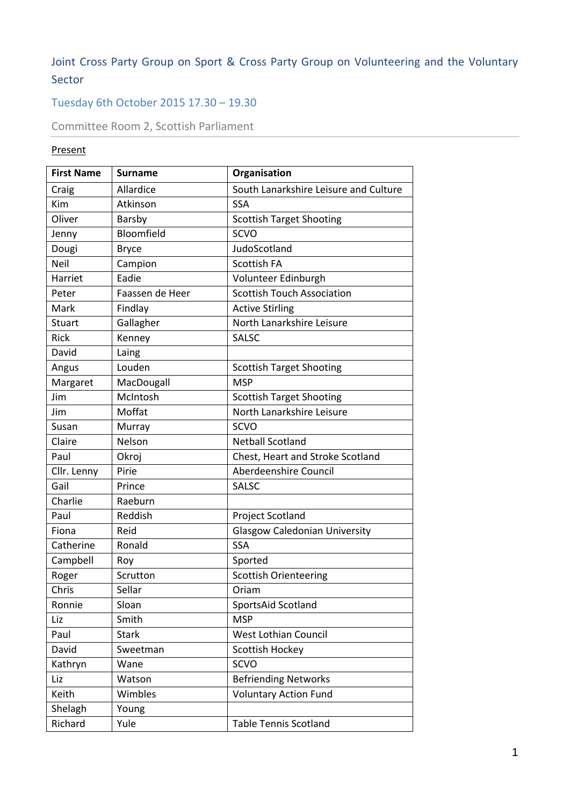# Joint Cross Party Group on Sport & Cross Party Group on Volunteering and the Voluntary Sector

# Tuesday 6th October 2015 17.30 – 19.30

Committee Room 2, Scottish Parliament

# Present

| <b>First Name</b> | <b>Surname</b>  | Organisation                          |
|-------------------|-----------------|---------------------------------------|
| Craig             | Allardice       | South Lanarkshire Leisure and Culture |
| Kim               | Atkinson        | <b>SSA</b>                            |
| Oliver            | Barsby          | <b>Scottish Target Shooting</b>       |
| Jenny             | Bloomfield      | <b>SCVO</b>                           |
| Dougi             | <b>Bryce</b>    | JudoScotland                          |
| Neil              | Campion         | <b>Scottish FA</b>                    |
| Harriet           | Eadie           | Volunteer Edinburgh                   |
| Peter             | Faassen de Heer | <b>Scottish Touch Association</b>     |
| Mark              | Findlay         | <b>Active Stirling</b>                |
| Stuart            | Gallagher       | North Lanarkshire Leisure             |
| <b>Rick</b>       | Kenney          | <b>SALSC</b>                          |
| David             | Laing           |                                       |
| Angus             | Louden          | <b>Scottish Target Shooting</b>       |
| Margaret          | MacDougall      | <b>MSP</b>                            |
| Jim               | McIntosh        | <b>Scottish Target Shooting</b>       |
| Jim               | Moffat          | North Lanarkshire Leisure             |
| Susan             | Murray          | <b>SCVO</b>                           |
| Claire            | Nelson          | <b>Netball Scotland</b>               |
| Paul              | Okroj           | Chest, Heart and Stroke Scotland      |
| Cllr. Lenny       | Pirie           | Aberdeenshire Council                 |
| Gail              | Prince          | <b>SALSC</b>                          |
| Charlie           | Raeburn         |                                       |
| Paul              | Reddish         | Project Scotland                      |
| Fiona             | Reid            | <b>Glasgow Caledonian University</b>  |
| Catherine         | Ronald          | <b>SSA</b>                            |
| Campbell          | Roy             | Sported                               |
| Roger             | Scrutton        | <b>Scottish Orienteering</b>          |
| Chris             | Sellar          | Oriam                                 |
| Ronnie            | Sloan           | SportsAid Scotland                    |
| Liz               | Smith           | <b>MSP</b>                            |
| Paul              | <b>Stark</b>    | West Lothian Council                  |
| David             | Sweetman        | Scottish Hockey                       |
| Kathryn           | Wane            | <b>SCVO</b>                           |
| Liz               | Watson          | <b>Befriending Networks</b>           |
| Keith             | Wimbles         | <b>Voluntary Action Fund</b>          |
| Shelagh           | Young           |                                       |
| Richard           | Yule            | <b>Table Tennis Scotland</b>          |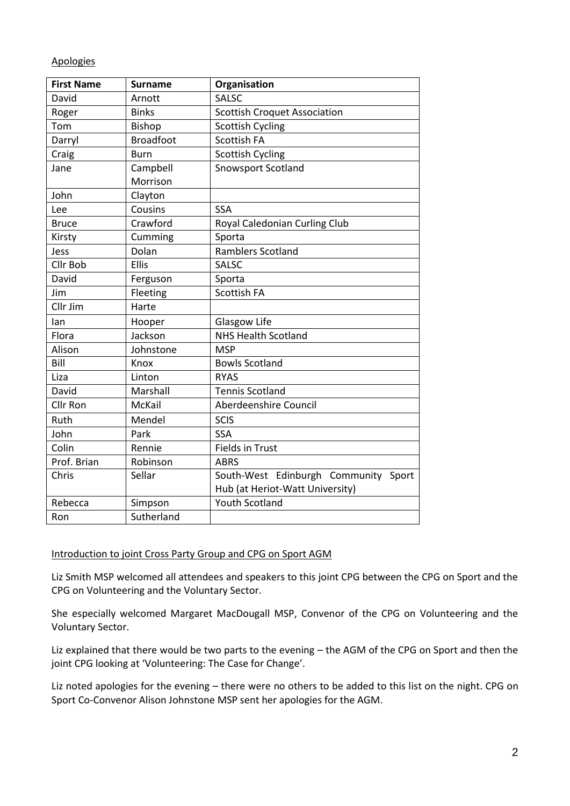#### Apologies

| <b>First Name</b> | <b>Surname</b>   | Organisation                            |
|-------------------|------------------|-----------------------------------------|
| David             | Arnott           | <b>SALSC</b>                            |
| Roger             | <b>Binks</b>     | <b>Scottish Croquet Association</b>     |
| Tom               | <b>Bishop</b>    | <b>Scottish Cycling</b>                 |
| Darryl            | <b>Broadfoot</b> | Scottish FA                             |
| Craig             | <b>Burn</b>      | <b>Scottish Cycling</b>                 |
| Jane              | Campbell         | <b>Snowsport Scotland</b>               |
|                   | Morrison         |                                         |
| John              | Clayton          |                                         |
| Lee               | Cousins          | <b>SSA</b>                              |
| <b>Bruce</b>      | Crawford         | Royal Caledonian Curling Club           |
| Kirsty            | Cumming          | Sporta                                  |
| Jess              | Dolan            | <b>Ramblers Scotland</b>                |
| Cllr Bob          | <b>Ellis</b>     | <b>SALSC</b>                            |
| David             | Ferguson         | Sporta                                  |
| Jim               | Fleeting         | Scottish FA                             |
| Cllr Jim          | Harte            |                                         |
| lan               | Hooper           | Glasgow Life                            |
| Flora             | Jackson          | <b>NHS Health Scotland</b>              |
| Alison            | Johnstone        | <b>MSP</b>                              |
| Bill              | Knox             | <b>Bowls Scotland</b>                   |
| Liza              | Linton           | <b>RYAS</b>                             |
| David             | Marshall         | <b>Tennis Scotland</b>                  |
| Cllr Ron          | <b>McKail</b>    | Aberdeenshire Council                   |
| Ruth              | Mendel           | <b>SCIS</b>                             |
| John              | Park             | <b>SSA</b>                              |
| Colin             | Rennie           | <b>Fields in Trust</b>                  |
| Prof. Brian       | Robinson         | <b>ABRS</b>                             |
| Chris             | Sellar           | South-West Edinburgh Community<br>Sport |
|                   |                  | Hub (at Heriot-Watt University)         |
| Rebecca           | Simpson          | <b>Youth Scotland</b>                   |
| Ron               | Sutherland       |                                         |

#### Introduction to joint Cross Party Group and CPG on Sport AGM

Liz Smith MSP welcomed all attendees and speakers to this joint CPG between the CPG on Sport and the CPG on Volunteering and the Voluntary Sector.

She especially welcomed Margaret MacDougall MSP, Convenor of the CPG on Volunteering and the Voluntary Sector.

Liz explained that there would be two parts to the evening – the AGM of the CPG on Sport and then the joint CPG looking at 'Volunteering: The Case for Change'.

Liz noted apologies for the evening – there were no others to be added to this list on the night. CPG on Sport Co-Convenor Alison Johnstone MSP sent her apologies for the AGM.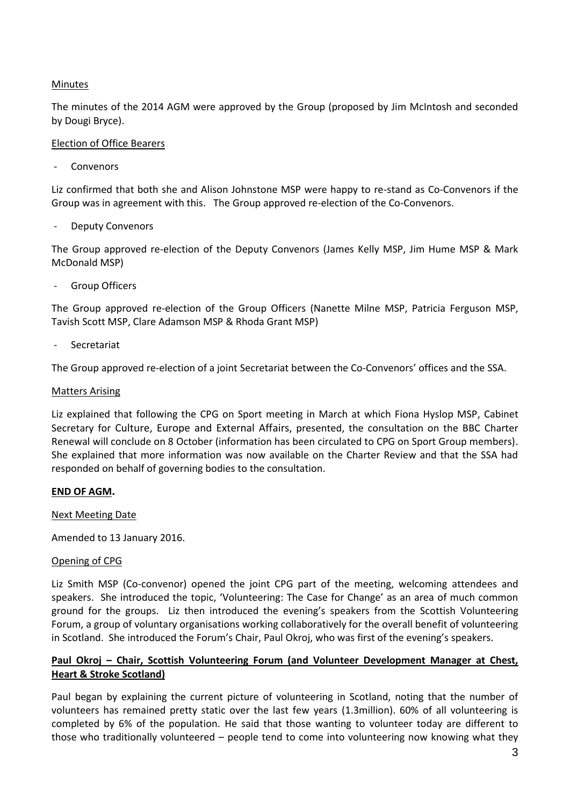## Minutes

The minutes of the 2014 AGM were approved by the Group (proposed by Jim McIntosh and seconded by Dougi Bryce).

#### Election of Office Bearers

**Convenors** 

Liz confirmed that both she and Alison Johnstone MSP were happy to re-stand as Co-Convenors if the Group was in agreement with this. The Group approved re-election of the Co-Convenors.

Deputy Convenors

The Group approved re-election of the Deputy Convenors (James Kelly MSP, Jim Hume MSP & Mark McDonald MSP)

Group Officers

The Group approved re-election of the Group Officers (Nanette Milne MSP, Patricia Ferguson MSP, Tavish Scott MSP, Clare Adamson MSP & Rhoda Grant MSP)

**Secretariat** 

The Group approved re-election of a joint Secretariat between the Co-Convenors' offices and the SSA.

#### Matters Arising

Liz explained that following the CPG on Sport meeting in March at which Fiona Hyslop MSP, Cabinet Secretary for Culture, Europe and External Affairs, presented, the consultation on the BBC Charter Renewal will conclude on 8 October (information has been circulated to CPG on Sport Group members). She explained that more information was now available on the Charter Review and that the SSA had responded on behalf of governing bodies to the consultation.

#### **END OF AGM.**

Next Meeting Date

Amended to 13 January 2016.

#### Opening of CPG

Liz Smith MSP (Co-convenor) opened the joint CPG part of the meeting, welcoming attendees and speakers. She introduced the topic, 'Volunteering: The Case for Change' as an area of much common ground for the groups. Liz then introduced the evening's speakers from the Scottish Volunteering Forum, a group of voluntary organisations working collaboratively for the overall benefit of volunteering in Scotland. She introduced the Forum's Chair, Paul Okroj, who was first of the evening's speakers.

## **Paul Okroj – Chair, Scottish Volunteering Forum (and Volunteer Development Manager at Chest, Heart & Stroke Scotland)**

Paul began by explaining the current picture of volunteering in Scotland, noting that the number of volunteers has remained pretty static over the last few years (1.3million). 60% of all volunteering is completed by 6% of the population. He said that those wanting to volunteer today are different to those who traditionally volunteered – people tend to come into volunteering now knowing what they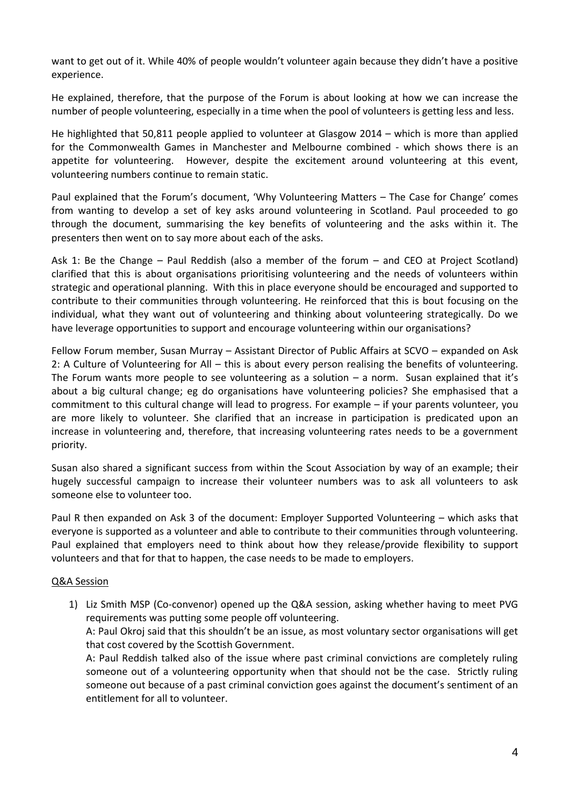want to get out of it. While 40% of people wouldn't volunteer again because they didn't have a positive experience.

He explained, therefore, that the purpose of the Forum is about looking at how we can increase the number of people volunteering, especially in a time when the pool of volunteers is getting less and less.

He highlighted that 50,811 people applied to volunteer at Glasgow 2014 – which is more than applied for the Commonwealth Games in Manchester and Melbourne combined - which shows there is an appetite for volunteering. However, despite the excitement around volunteering at this event, volunteering numbers continue to remain static.

Paul explained that the Forum's document, 'Why Volunteering Matters – The Case for Change' comes from wanting to develop a set of key asks around volunteering in Scotland. Paul proceeded to go through the document, summarising the key benefits of volunteering and the asks within it. The presenters then went on to say more about each of the asks.

Ask 1: Be the Change – Paul Reddish (also a member of the forum – and CEO at Project Scotland) clarified that this is about organisations prioritising volunteering and the needs of volunteers within strategic and operational planning. With this in place everyone should be encouraged and supported to contribute to their communities through volunteering. He reinforced that this is bout focusing on the individual, what they want out of volunteering and thinking about volunteering strategically. Do we have leverage opportunities to support and encourage volunteering within our organisations?

Fellow Forum member, Susan Murray – Assistant Director of Public Affairs at SCVO – expanded on Ask 2: A Culture of Volunteering for All – this is about every person realising the benefits of volunteering. The Forum wants more people to see volunteering as a solution  $-$  a norm. Susan explained that it's about a big cultural change; eg do organisations have volunteering policies? She emphasised that a commitment to this cultural change will lead to progress. For example – if your parents volunteer, you are more likely to volunteer. She clarified that an increase in participation is predicated upon an increase in volunteering and, therefore, that increasing volunteering rates needs to be a government priority.

Susan also shared a significant success from within the Scout Association by way of an example; their hugely successful campaign to increase their volunteer numbers was to ask all volunteers to ask someone else to volunteer too.

Paul R then expanded on Ask 3 of the document: Employer Supported Volunteering – which asks that everyone is supported as a volunteer and able to contribute to their communities through volunteering. Paul explained that employers need to think about how they release/provide flexibility to support volunteers and that for that to happen, the case needs to be made to employers.

#### Q&A Session

1) Liz Smith MSP (Co-convenor) opened up the Q&A session, asking whether having to meet PVG requirements was putting some people off volunteering.

A: Paul Okroj said that this shouldn't be an issue, as most voluntary sector organisations will get that cost covered by the Scottish Government.

A: Paul Reddish talked also of the issue where past criminal convictions are completely ruling someone out of a volunteering opportunity when that should not be the case. Strictly ruling someone out because of a past criminal conviction goes against the document's sentiment of an entitlement for all to volunteer.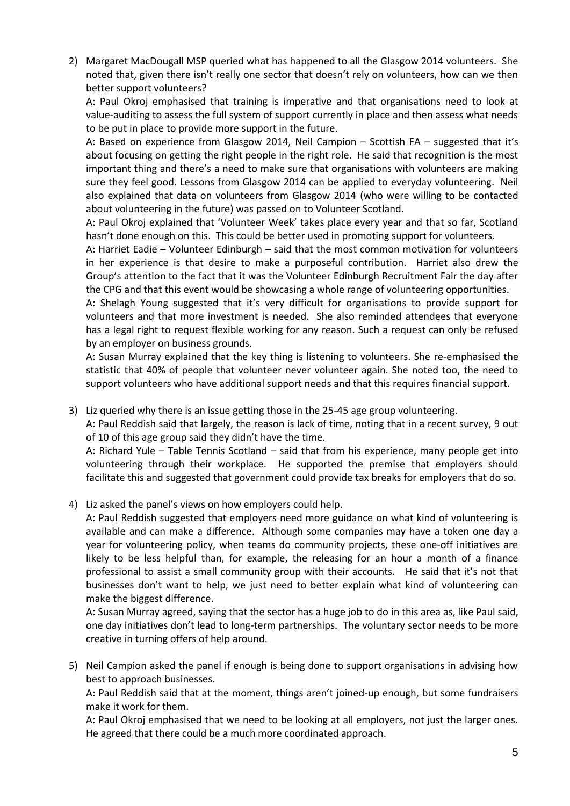2) Margaret MacDougall MSP queried what has happened to all the Glasgow 2014 volunteers. She noted that, given there isn't really one sector that doesn't rely on volunteers, how can we then better support volunteers?

A: Paul Okroj emphasised that training is imperative and that organisations need to look at value-auditing to assess the full system of support currently in place and then assess what needs to be put in place to provide more support in the future.

A: Based on experience from Glasgow 2014, Neil Campion – Scottish FA – suggested that it's about focusing on getting the right people in the right role. He said that recognition is the most important thing and there's a need to make sure that organisations with volunteers are making sure they feel good. Lessons from Glasgow 2014 can be applied to everyday volunteering. Neil also explained that data on volunteers from Glasgow 2014 (who were willing to be contacted about volunteering in the future) was passed on to Volunteer Scotland.

A: Paul Okroj explained that 'Volunteer Week' takes place every year and that so far, Scotland hasn't done enough on this. This could be better used in promoting support for volunteers.

A: Harriet Eadie – Volunteer Edinburgh – said that the most common motivation for volunteers in her experience is that desire to make a purposeful contribution. Harriet also drew the Group's attention to the fact that it was the Volunteer Edinburgh Recruitment Fair the day after the CPG and that this event would be showcasing a whole range of volunteering opportunities.

A: Shelagh Young suggested that it's very difficult for organisations to provide support for volunteers and that more investment is needed. She also reminded attendees that everyone has a legal right to request flexible working for any reason. Such a request can only be refused by an employer on business grounds.

A: Susan Murray explained that the key thing is listening to volunteers. She re-emphasised the statistic that 40% of people that volunteer never volunteer again. She noted too, the need to support volunteers who have additional support needs and that this requires financial support.

3) Liz queried why there is an issue getting those in the 25-45 age group volunteering.

A: Paul Reddish said that largely, the reason is lack of time, noting that in a recent survey, 9 out of 10 of this age group said they didn't have the time.

A: Richard Yule – Table Tennis Scotland – said that from his experience, many people get into volunteering through their workplace. He supported the premise that employers should facilitate this and suggested that government could provide tax breaks for employers that do so.

4) Liz asked the panel's views on how employers could help.

A: Paul Reddish suggested that employers need more guidance on what kind of volunteering is available and can make a difference. Although some companies may have a token one day a year for volunteering policy, when teams do community projects, these one-off initiatives are likely to be less helpful than, for example, the releasing for an hour a month of a finance professional to assist a small community group with their accounts. He said that it's not that businesses don't want to help, we just need to better explain what kind of volunteering can make the biggest difference.

A: Susan Murray agreed, saying that the sector has a huge job to do in this area as, like Paul said, one day initiatives don't lead to long-term partnerships. The voluntary sector needs to be more creative in turning offers of help around.

5) Neil Campion asked the panel if enough is being done to support organisations in advising how best to approach businesses.

A: Paul Reddish said that at the moment, things aren't joined-up enough, but some fundraisers make it work for them.

A: Paul Okroj emphasised that we need to be looking at all employers, not just the larger ones. He agreed that there could be a much more coordinated approach.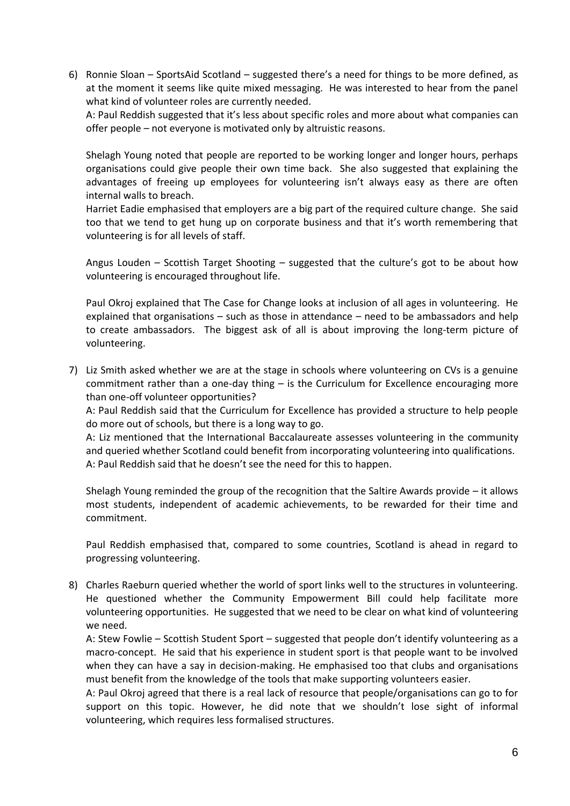6) Ronnie Sloan – SportsAid Scotland – suggested there's a need for things to be more defined, as at the moment it seems like quite mixed messaging. He was interested to hear from the panel what kind of volunteer roles are currently needed.

A: Paul Reddish suggested that it's less about specific roles and more about what companies can offer people – not everyone is motivated only by altruistic reasons.

Shelagh Young noted that people are reported to be working longer and longer hours, perhaps organisations could give people their own time back. She also suggested that explaining the advantages of freeing up employees for volunteering isn't always easy as there are often internal walls to breach.

Harriet Eadie emphasised that employers are a big part of the required culture change. She said too that we tend to get hung up on corporate business and that it's worth remembering that volunteering is for all levels of staff.

Angus Louden – Scottish Target Shooting – suggested that the culture's got to be about how volunteering is encouraged throughout life.

Paul Okroj explained that The Case for Change looks at inclusion of all ages in volunteering. He explained that organisations – such as those in attendance – need to be ambassadors and help to create ambassadors. The biggest ask of all is about improving the long-term picture of volunteering.

7) Liz Smith asked whether we are at the stage in schools where volunteering on CVs is a genuine commitment rather than a one-day thing – is the Curriculum for Excellence encouraging more than one-off volunteer opportunities?

A: Paul Reddish said that the Curriculum for Excellence has provided a structure to help people do more out of schools, but there is a long way to go.

A: Liz mentioned that the International Baccalaureate assesses volunteering in the community and queried whether Scotland could benefit from incorporating volunteering into qualifications. A: Paul Reddish said that he doesn't see the need for this to happen.

Shelagh Young reminded the group of the recognition that the Saltire Awards provide – it allows most students, independent of academic achievements, to be rewarded for their time and commitment.

Paul Reddish emphasised that, compared to some countries, Scotland is ahead in regard to progressing volunteering.

8) Charles Raeburn queried whether the world of sport links well to the structures in volunteering. He questioned whether the Community Empowerment Bill could help facilitate more volunteering opportunities. He suggested that we need to be clear on what kind of volunteering we need.

A: Stew Fowlie – Scottish Student Sport – suggested that people don't identify volunteering as a macro-concept. He said that his experience in student sport is that people want to be involved when they can have a say in decision-making. He emphasised too that clubs and organisations must benefit from the knowledge of the tools that make supporting volunteers easier.

A: Paul Okroj agreed that there is a real lack of resource that people/organisations can go to for support on this topic. However, he did note that we shouldn't lose sight of informal volunteering, which requires less formalised structures.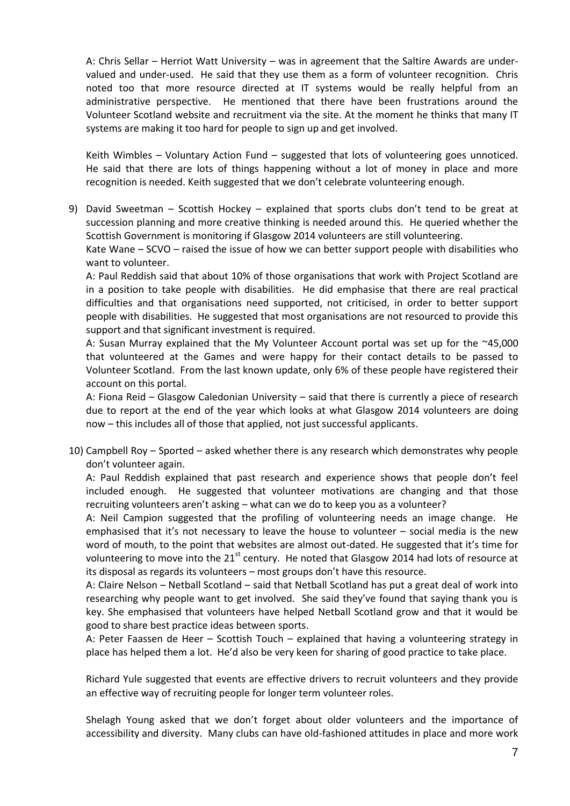A: Chris Sellar – Herriot Watt University – was in agreement that the Saltire Awards are undervalued and under-used. He said that they use them as a form of volunteer recognition. Chris noted too that more resource directed at IT systems would be really helpful from an administrative perspective. He mentioned that there have been frustrations around the Volunteer Scotland website and recruitment via the site. At the moment he thinks that many IT systems are making it too hard for people to sign up and get involved.

Keith Wimbles – Voluntary Action Fund – suggested that lots of volunteering goes unnoticed. He said that there are lots of things happening without a lot of money in place and more recognition is needed. Keith suggested that we don't celebrate volunteering enough.

9) David Sweetman – Scottish Hockey – explained that sports clubs don't tend to be great at succession planning and more creative thinking is needed around this. He queried whether the Scottish Government is monitoring if Glasgow 2014 volunteers are still volunteering.

Kate Wane – SCVO – raised the issue of how we can better support people with disabilities who want to volunteer.

A: Paul Reddish said that about 10% of those organisations that work with Project Scotland are in a position to take people with disabilities. He did emphasise that there are real practical difficulties and that organisations need supported, not criticised, in order to better support people with disabilities. He suggested that most organisations are not resourced to provide this support and that significant investment is required.

A: Susan Murray explained that the My Volunteer Account portal was set up for the ~45,000 that volunteered at the Games and were happy for their contact details to be passed to Volunteer Scotland. From the last known update, only 6% of these people have registered their account on this portal.

A: Fiona Reid – Glasgow Caledonian University – said that there is currently a piece of research due to report at the end of the year which looks at what Glasgow 2014 volunteers are doing now – this includes all of those that applied, not just successful applicants.

10) Campbell Roy – Sported – asked whether there is any research which demonstrates why people don't volunteer again.

A: Paul Reddish explained that past research and experience shows that people don't feel included enough. He suggested that volunteer motivations are changing and that those recruiting volunteers aren't asking – what can we do to keep you as a volunteer?

A: Neil Campion suggested that the profiling of volunteering needs an image change. He emphasised that it's not necessary to leave the house to volunteer – social media is the new word of mouth, to the point that websites are almost out-dated. He suggested that it's time for volunteering to move into the 21<sup>st</sup> century. He noted that Glasgow 2014 had lots of resource at its disposal as regards its volunteers – most groups don't have this resource.

A: Claire Nelson – Netball Scotland – said that Netball Scotland has put a great deal of work into researching why people want to get involved. She said they've found that saying thank you is key. She emphasised that volunteers have helped Netball Scotland grow and that it would be good to share best practice ideas between sports.

A: Peter Faassen de Heer – Scottish Touch – explained that having a volunteering strategy in place has helped them a lot. He'd also be very keen for sharing of good practice to take place.

Richard Yule suggested that events are effective drivers to recruit volunteers and they provide an effective way of recruiting people for longer term volunteer roles.

Shelagh Young asked that we don't forget about older volunteers and the importance of accessibility and diversity. Many clubs can have old-fashioned attitudes in place and more work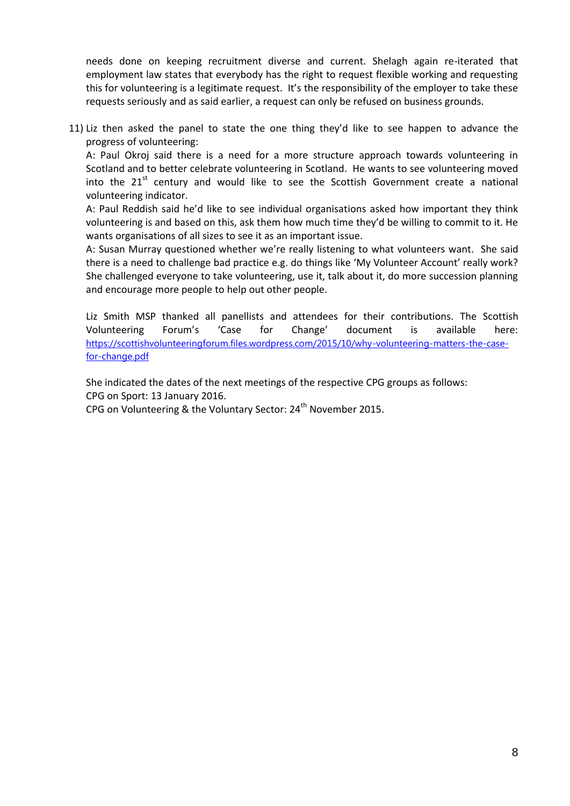needs done on keeping recruitment diverse and current. Shelagh again re-iterated that employment law states that everybody has the right to request flexible working and requesting this for volunteering is a legitimate request. It's the responsibility of the employer to take these requests seriously and as said earlier, a request can only be refused on business grounds.

11) Liz then asked the panel to state the one thing they'd like to see happen to advance the progress of volunteering:

A: Paul Okroj said there is a need for a more structure approach towards volunteering in Scotland and to better celebrate volunteering in Scotland. He wants to see volunteering moved into the  $21^{st}$  century and would like to see the Scottish Government create a national volunteering indicator.

A: Paul Reddish said he'd like to see individual organisations asked how important they think volunteering is and based on this, ask them how much time they'd be willing to commit to it. He wants organisations of all sizes to see it as an important issue.

A: Susan Murray questioned whether we're really listening to what volunteers want. She said there is a need to challenge bad practice e.g. do things like 'My Volunteer Account' really work? She challenged everyone to take volunteering, use it, talk about it, do more succession planning and encourage more people to help out other people.

Liz Smith MSP thanked all panellists and attendees for their contributions. The Scottish Volunteering Forum's 'Case for Change' document is available here: [https://scottishvolunteeringforum.files.wordpress.com/2015/10/why-volunteering-matters-the-case](https://scottishvolunteeringforum.files.wordpress.com/2015/10/why-volunteering-matters-the-case-for-change.pdf)[for-change.pdf](https://scottishvolunteeringforum.files.wordpress.com/2015/10/why-volunteering-matters-the-case-for-change.pdf)

She indicated the dates of the next meetings of the respective CPG groups as follows: CPG on Sport: 13 January 2016.

CPG on Volunteering & the Voluntary Sector: 24<sup>th</sup> November 2015.